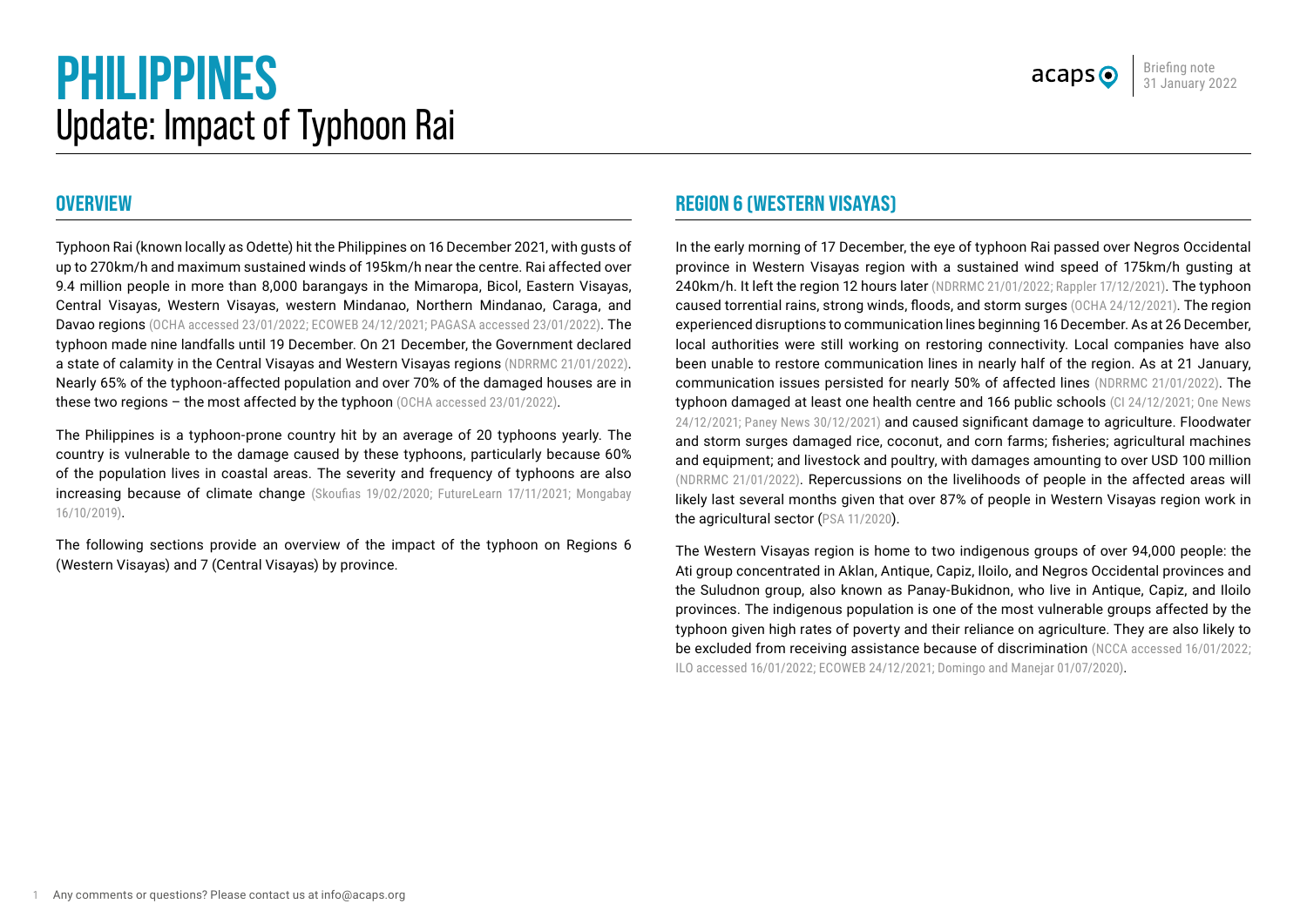# **PHILIPPINES** Update: Impact of Typhoon Rai

## **OVERVIEW**

Typhoon Rai (known locally as Odette) hit the Philippines on 16 December 2021, with gusts of up to 270km/h and maximum sustained winds of 195km/h near the centre. Rai affected over 9.4 million people in more than 8,000 barangays in the Mimaropa, Bicol, Eastern Visayas, Central Visayas, Western Visayas, western Mindanao, Northern Mindanao, Caraga, and Davao regions ([OCHA accessed 23/01/2022](https://roap.data.unocha.org/country/philippines/hnp/TyphoonRai/situation.html); [ECOWEB 24/12/2021;](https://reliefweb.int/sites/reliefweb.int/files/resources/ECOWEB-SitRep-2-Odette_20Dec-2.pdf) [PAGASA accessed 23/01/2022](https://www.pagasa.dost.gov.ph/tropical-cyclone-bulletin-iframe)). The typhoon made nine landfalls until 19 December. On 21 December, the Government declared a state of calamity in the Central Visayas and Western Visayas regions ([NDRRMC 21/01/2022\)](https://reliefweb.int/sites/reliefweb.int/files/resources/Subject_SitRep_No__37_for_Typhoon_ODETTE_2021.pdf). Nearly 65% of the typhoon-affected population and over 70% of the damaged houses are in these two regions – the most affected by the typhoon [\(OCHA accessed 23/01/2022](https://roap.data.unocha.org/country/philippines/hnp/TyphoonRai/situation.html)).

The Philippines is a typhoon-prone country hit by an average of 20 typhoons yearly. The country is vulnerable to the damage caused by these typhoons, particularly because 60% of the population lives in coastal areas. The severity and frequency of typhoons are also increasing because of climate change [\(Skoufias 19/02/2020;](https://link.springer.com/article/10.1007/s41885-020-00059-y) [FutureLearn 17/11/2021;](https://www.futurelearn.com/info/futurelearn-international/philippines-typhoons) Mongabay [16/10/2019\)](https://news.mongabay.com/2019/10/for-the-philippines-a-warming-world-means-stronger-typhoons-fewer-fish/).

The following sections provide an overview of the impact of the typhoon on Regions 6 (Western Visayas) and 7 (Central Visayas) by province.

## **REGION 6 (WESTERN VISAYAS)**

In the early morning of 17 December, the eye of typhoon Rai passed over Negros Occidental province in Western Visayas region with a sustained wind speed of 175km/h gusting at 240km/h. It left the region 12 hours later ([NDRRMC 21/01/2022;](https://reliefweb.int/sites/reliefweb.int/files/resources/Subject_SitRep_No__37_for_Typhoon_ODETTE_2021.pdf) [Rappler 17/12/2021\)](https://www.rappler.com/nation/weather/typhoon-odette-pagasa-forecast-december-17-2021-5am/). The typhoon caused torrential rains, strong winds, floods, and storm surges [\(OCHA 24/12/2021](https://reliefweb.int/sites/reliefweb.int/files/resources/PHL-TyphoonRai-HumanitarianNeedsPriorities-211224%20%281%29.pdf)). The region experienced disruptions to communication lines beginning 16 December. As at 26 December, local authorities were still working on restoring connectivity. Local companies have also been unable to restore communication lines in nearly half of the region. As at 21 January, communication issues persisted for nearly 50% of affected lines ([NDRRMC 21/01/2022](https://reliefweb.int/sites/reliefweb.int/files/resources/Subject_SitRep_No__37_for_Typhoon_ODETTE_2021.pdf)). The typhoon damaged at least one health centre and 166 public schools [\(CI 24/12/2021](https://reliefweb.int/sites/reliefweb.int/files/resources/SitRep-3-TY-Odette-Rai_final.pdf); One News [24/12/2021;](https://www.onenews.ph/articles/33-hospitals-23-health-stations-damaged-by-odette) [Paney News 30/12/2021\)](https://www.panaynews.net/wvs-166-public-schools-damaged-p1-1-b-rehab-fund-needed-deped-6-exec/) and caused significant damage to agriculture. Floodwater and storm surges damaged rice, coconut, and corn farms; fisheries; agricultural machines and equipment; and livestock and poultry, with damages amounting to over USD 100 million ([NDRRMC 21/01/2022\)](https://reliefweb.int/sites/reliefweb.int/files/resources/Subject_SitRep_No__37_for_Typhoon_ODETTE_2021.pdf). Repercussions on the livelihoods of people in the affected areas will likely last several months given that over 87% of people in Western Visayas region work in the agricultural sector ([PSA 11/2020](https://psa.gov.ph/sites/default/files/AIS%20Employment%20and%20Wages_signed%201127%20.pdf)).

The Western Visayas region is home to two indigenous groups of over 94,000 people: the Ati group concentrated in Aklan, Antique, Capiz, Iloilo, and Negros Occidental provinces and the Suludnon group, also known as Panay-Bukidnon, who live in Antique, Capiz, and Iloilo provinces. The indigenous population is one of the most vulnerable groups affected by the typhoon given high rates of poverty and their reliance on agriculture. They are also likely to be excluded from receiving assistance because of discrimination ([NCCA accessed 16/01/2022](https://ncca.gov.ph/about-ncca-3/subcommissions/subcommission-on-cultural-communities-and-traditional-arts-sccta/central-cultural-communities/the-ati-of-negros-and-panay/); [ILO accessed 16/01/2022;](https://www.ilo.org/manila/areasofwork/WCMS_402361/lang--en/index.htm) [ECOWEB 24/12/2021](https://reliefweb.int/sites/reliefweb.int/files/resources/ECOWEB-SitRep-2-Odette_20Dec-2.pdf); [Domingo and Manejar 01/07/2020](https://pidswebs.pids.gov.ph/CDN/PUBLICATIONS/pidsdps2020.pdf)).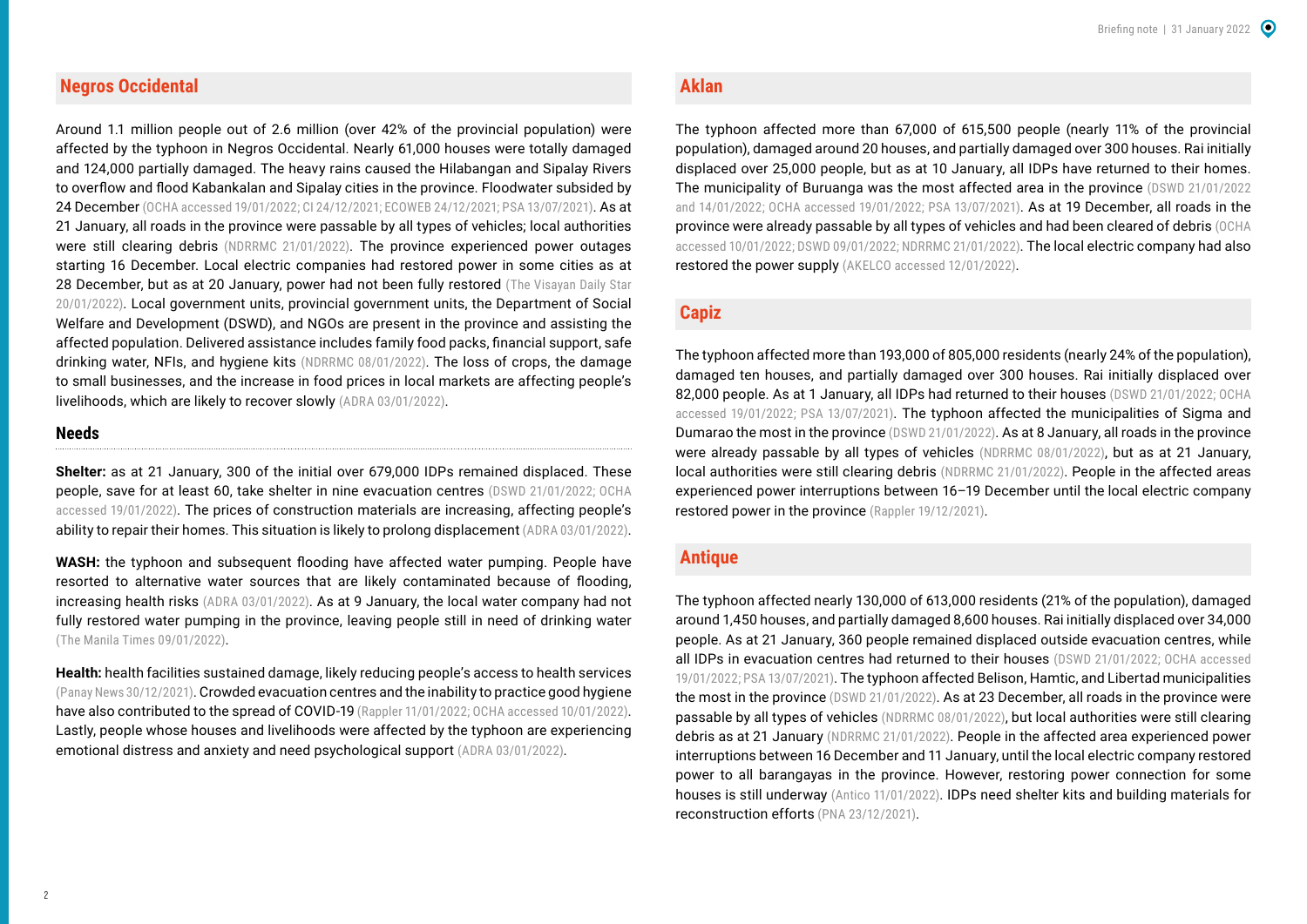#### **Negros Occidental**

Around 1.1 million people out of 2.6 million (over 42% of the provincial population) were affected by the typhoon in Negros Occidental. Nearly 61,000 houses were totally damaged and 124,000 partially damaged. The heavy rains caused the Hilabangan and Sipalay Rivers to overflow and flood Kabankalan and Sipalay cities in the province. Floodwater subsided by 24 December [\(OCHA accessed 19/01/2022;](https://roap.data.unocha.org/country/philippines/hnp/TyphoonRai/situation.html) [CI 24/12/2021](https://reliefweb.int/sites/reliefweb.int/files/resources/SitRep-3-TY-Odette-Rai_final.pdf); [ECOWEB 24/12/2021](https://reliefweb.int/sites/reliefweb.int/files/resources/ECOWEB-SitRep-2-Odette_20Dec-2.pdf); [PSA 13/07/2021](https://psa.gov.ph/content/highlights-philippine-population-2020-census-population-and-housing-2020-cph)). As at 21 January, all roads in the province were passable by all types of vehicles; local authorities were still clearing debris ([NDRRMC 21/01/2022\)](https://reliefweb.int/sites/reliefweb.int/files/resources/Subject_SitRep_No__37_for_Typhoon_ODETTE_2021.pdf). The province experienced power outages starting 16 December. Local electric companies had restored power in some cities as at 28 December, but as at 20 January, power had not been fully restored (The Visayan Daily Star [20/01/2022\)](https://visayandailystar.com/p197-7m-relief-assistance-for-typhoon-victims/). Local government units, provincial government units, the Department of Social Welfare and Development (DSWD), and NGOs are present in the province and assisting the affected population. Delivered assistance includes family food packs, financial support, safe drinking water, NFIs, and hygiene kits ([NDRRMC 08/01/2022\)](https://reliefweb.int/sites/reliefweb.int/files/resources/SitRep_No__27_for_Typhoon_ODETTE_2021.pdf). The loss of crops, the damage to small businesses, and the increase in food prices in local markets are affecting people's livelihoods, which are likely to recover slowly [\(ADRA 03/01/2022\)](https://reliefweb.int/report/philippines/negros-occidental-typhoon-rai-odette-assessment-report).

#### **Needs**

**Shelter:** as at 21 January, 300 of the initial over 679,000 IDPs remained displaced. These people, save for at least 60, take shelter in nine evacuation centres ([DSWD 21/01/2022;](https://reliefweb.int/sites/reliefweb.int/files/resources/DSWD-DROMIC-Report-60-on-Typhoon-ODETTE-as-of-21-January-2022-6PM.pdf) [OCHA](https://roap.data.unocha.org/country/philippines/hnp/TyphoonRai/situation.html)  [accessed 19/01/2022](https://roap.data.unocha.org/country/philippines/hnp/TyphoonRai/situation.html)). The prices of construction materials are increasing, affecting people's ability to repair their homes. This situation is likely to prolong displacement [\(ADRA 03/01/2022\)](https://reliefweb.int/report/philippines/negros-occidental-typhoon-rai-odette-assessment-report).

**WASH:** the typhoon and subsequent flooding have affected water pumping. People have resorted to alternative water sources that are likely contaminated because of flooding, increasing health risks [\(ADRA 03/01/2022\)](https://reliefweb.int/report/philippines/negros-occidental-typhoon-rai-odette-assessment-report). As at 9 January, the local water company had not fully restored water pumping in the province, leaving people still in need of drinking water ([The Manila Times 09/01/2022\)](https://www.manilatimes.net/2022/01/09/news/regions/gibo-assists-in-the-visayas/1828678).

**Health:** health facilities sustained damage, likely reducing people's access to health services ([Panay News 30/12/2021\)](https://www.panaynews.net/new-year-in-negros-evacuation-centers-typhoon-hit-families-have-nowhere-to-go/). Crowded evacuation centres and the inability to practice good hygiene have also contributed to the spread of COVID-19 ([Rappler 11/01/2022](https://www.rappler.com/nation/bulk-covid-19-cases-negros-occidental-covid-returning-residents-january-10-2022/); [OCHA accessed 10/01/2022\)](https://roap.data.unocha.org/country/philippines/hnp/TyphoonRai/situation.html). Lastly, people whose houses and livelihoods were affected by the typhoon are experiencing emotional distress and anxiety and need psychological support ([ADRA 03/01/2022](https://reliefweb.int/report/philippines/negros-occidental-typhoon-rai-odette-assessment-report)).

#### **Aklan**

The typhoon affected more than 67,000 of 615,500 people (nearly 11% of the provincial population), damaged around 20 houses, and partially damaged over 300 houses. Rai initially displaced over 25,000 people, but as at 10 January, all IDPs have returned to their homes. The municipality of Buruanga was the most affected area in the province ([DSWD 21/01/2022](https://reliefweb.int/sites/reliefweb.int/files/resources/DSWD-DROMIC-Report-60-on-Typhoon-ODETTE-as-of-21-January-2022-6PM.pdf)  and [14/01/2022](https://reliefweb.int/sites/reliefweb.int/files/resources/DSWD-DROMIC-Report-53-on-Typhoon-ODETTE-as-of-14-January-2022-6PM.pdf); [OCHA accessed 19/01/2022](https://roap.data.unocha.org/country/philippines/hnp/TyphoonRai/situation.html); [PSA 13/07/2021](https://psa.gov.ph/content/highlights-philippine-population-2020-census-population-and-housing-2020-cph)). As at 19 December, all roads in the province were already passable by all types of vehicles and had been cleared of debris [\(OCHA](https://roap.data.unocha.org/country/philippines/hnp/TyphoonRai/situation.html)  [accessed 10/01/2022](https://roap.data.unocha.org/country/philippines/hnp/TyphoonRai/situation.html); [DSWD 09/01/2022](https://reliefweb.int/sites/reliefweb.int/files/resources/DSWD-DROMIC-Report-48-on-Typhoon-ODETTE-as-of-09-January-2022-6PM-converted.pdf); [NDRRMC 21/01/2022](https://reliefweb.int/sites/reliefweb.int/files/resources/Subject_SitRep_No__37_for_Typhoon_ODETTE_2021.pdf)). The local electric company had also restored the power supply [\(AKELCO accessed 12/01/2022\)](https://www.akelco.com.ph/).

## **Capiz**

The typhoon affected more than 193,000 of 805,000 residents (nearly 24% of the population), damaged ten houses, and partially damaged over 300 houses. Rai initially displaced over 82,000 people. As at 1 January, all IDPs had returned to their houses ([DSWD 21/01/2022;](https://reliefweb.int/sites/reliefweb.int/files/resources/DSWD-DROMIC-Report-60-on-Typhoon-ODETTE-as-of-21-January-2022-6PM.pdf) OCHA [accessed 19/01/2022](https://roap.data.unocha.org/country/philippines/hnp/TyphoonRai/situation.html); [PSA 13/07/2021](https://psa.gov.ph/content/highlights-philippine-population-2020-census-population-and-housing-2020-cph)). The typhoon affected the municipalities of Sigma and Dumarao the most in the province [\(DSWD 21/01/2022\)](https://reliefweb.int/sites/reliefweb.int/files/resources/DSWD-DROMIC-Report-60-on-Typhoon-ODETTE-as-of-21-January-2022-6PM.pdf). As at 8 January, all roads in the province were already passable by all types of vehicles ([NDRRMC 08/01/2022\)](https://reliefweb.int/sites/reliefweb.int/files/resources/SitRep_No__27_for_Typhoon_ODETTE_2021.pdf), but as at 21 January, local authorities were still clearing debris ([NDRRMC 21/01/2022\)](https://reliefweb.int/sites/reliefweb.int/files/resources/Subject_SitRep_No__37_for_Typhoon_ODETTE_2021.pdf). People in the affected areas experienced power interruptions between 16–19 December until the local electric company restored power in the province ([Rappler 19/12/2021](https://www.rappler.com/business/ngcp-begins-power-restoration-areas-hit-typhoon-odette/)).

#### **Antique**

The typhoon affected nearly 130,000 of 613,000 residents (21% of the population), damaged around 1,450 houses, and partially damaged 8,600 houses. Rai initially displaced over 34,000 people. As at 21 January, 360 people remained displaced outside evacuation centres, while all IDPs in evacuation centres had returned to their houses ([DSWD 21/01/2022;](https://reliefweb.int/sites/reliefweb.int/files/resources/DSWD-DROMIC-Report-60-on-Typhoon-ODETTE-as-of-21-January-2022-6PM.pdf) [OCHA accessed](https://roap.data.unocha.org/country/philippines/hnp/TyphoonRai/situation.html)  [19/01/2022](https://roap.data.unocha.org/country/philippines/hnp/TyphoonRai/situation.html); [PSA 13/07/2021](https://psa.gov.ph/content/highlights-philippine-population-2020-census-population-and-housing-2020-cph)). The typhoon affected Belison, Hamtic, and Libertad municipalities the most in the province ([DSWD 21/01/2022](https://reliefweb.int/sites/reliefweb.int/files/resources/DSWD-DROMIC-Report-60-on-Typhoon-ODETTE-as-of-21-January-2022-6PM.pdf)). As at 23 December, all roads in the province were passable by all types of vehicles ([NDRRMC 08/01/2022\)](https://reliefweb.int/sites/reliefweb.int/files/resources/SitRep_No__27_for_Typhoon_ODETTE_2021.pdf), but local authorities were still clearing debris as at 21 January ([NDRRMC 21/01/2022](https://reliefweb.int/sites/reliefweb.int/files/resources/Subject_SitRep_No__37_for_Typhoon_ODETTE_2021.pdf)). People in the affected area experienced power interruptions between 16 December and 11 January, until the local electric company restored power to all barangayas in the province. However, restoring power connection for some houses is still underway ([Antico 11/01/2022](https://www.facebook.com/antecoPH/posts/4907821122590161)). IDPs need shelter kits and building materials for reconstruction efforts [\(PNA 23/12/2021](https://www.pna.gov.ph/articles/1163490)).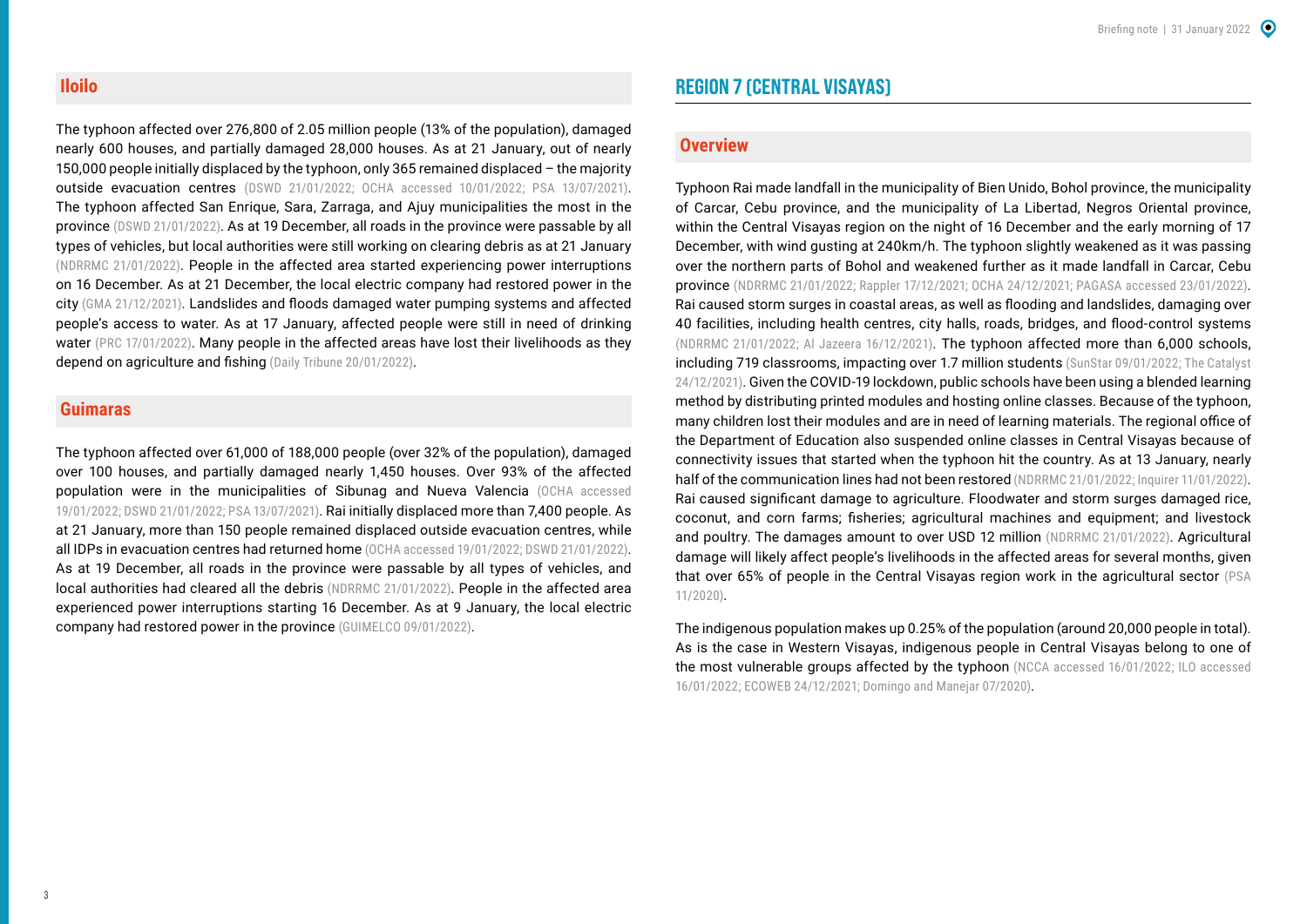#### **Iloilo**

The typhoon affected over 276,800 of 2.05 million people (13% of the population), damaged nearly 600 houses, and partially damaged 28,000 houses. As at 21 January, out of nearly 150,000 people initially displaced by the typhoon, only 365 remained displaced – the majority outside evacuation centres [\(DSWD 21/01/2022;](https://reliefweb.int/sites/reliefweb.int/files/resources/DSWD-DROMIC-Report-60-on-Typhoon-ODETTE-as-of-21-January-2022-6PM.pdf) [OCHA accessed 10/01/2022](https://roap.data.unocha.org/country/philippines/hnp/TyphoonRai/situation.html); [PSA 13/07/2021](https://psa.gov.ph/content/highlights-philippine-population-2020-census-population-and-housing-2020-cph)). The typhoon affected San Enrique, Sara, Zarraga, and Ajuy municipalities the most in the province ([DSWD 21/01/2022](https://reliefweb.int/sites/reliefweb.int/files/resources/DSWD-DROMIC-Report-60-on-Typhoon-ODETTE-as-of-21-January-2022-6PM.pdf)). As at 19 December, all roads in the province were passable by all types of vehicles, but local authorities were still working on clearing debris as at 21 January [\(NDRRMC 21/01/2022\)](https://reliefweb.int/sites/reliefweb.int/files/resources/Subject_SitRep_No__37_for_Typhoon_ODETTE_2021.pdf). People in the affected area started experiencing power interruptions on 16 December. As at 21 December, the local electric company had restored power in the city [\(GMA 21/12/2021](https://www.gmanetwork.com/news/topstories/regions/815424/iloilo-city-s-power-100-restored-says-more/story/)). Landslides and floods damaged water pumping systems and affected people's access to water. As at 17 January, affected people were still in need of drinking water ([PRC 17/01/2022\)](https://redcross.org.ph/2022/01/17/red-cross-provides-30000-liters-of-water-to-800-families-in-negros-oriental). Many people in the affected areas have lost their livelihoods as they depend on agriculture and fishing ([Daily Tribune 20/01/2022](https://tribune.net.ph/index.php/2022/01/20/a-lot-more-to-be-done/)).

#### **Guimaras**

The typhoon affected over 61,000 of 188,000 people (over 32% of the population), damaged over 100 houses, and partially damaged nearly 1,450 houses. Over 93% of the affected population were in the municipalities of Sibunag and Nueva Valencia ([OCHA accessed](https://roap.data.unocha.org/country/philippines/hnp/TyphoonRai/situation.html)  [19/01/2022](https://roap.data.unocha.org/country/philippines/hnp/TyphoonRai/situation.html); [DSWD 21/01/2022;](https://reliefweb.int/sites/reliefweb.int/files/resources/DSWD-DROMIC-Report-60-on-Typhoon-ODETTE-as-of-21-January-2022-6PM.pdf) [PSA 13/07/2021](https://psa.gov.ph/content/highlights-philippine-population-2020-census-population-and-housing-2020-cph)). Rai initially displaced more than 7,400 people. As at 21 January, more than 150 people remained displaced outside evacuation centres, while all IDPs in evacuation centres had returned home ([OCHA accessed 19/01/2022;](https://roap.data.unocha.org/country/philippines/hnp/TyphoonRai/situation.html) [DSWD 21/01/2022\)](https://reliefweb.int/sites/reliefweb.int/files/resources/DSWD-DROMIC-Report-60-on-Typhoon-ODETTE-as-of-21-January-2022-6PM.pdf). As at 19 December, all roads in the province were passable by all types of vehicles, and local authorities had cleared all the debris ([NDRRMC 21/01/2022\)](https://reliefweb.int/sites/reliefweb.int/files/resources/Subject_SitRep_No__37_for_Typhoon_ODETTE_2021.pdf). People in the affected area experienced power interruptions starting 16 December. As at 9 January, the local electric company had restored power in the province ([GUIMELCO 09/01/2022\)](https://www.facebook.com/guimelco/posts/7032146060158970).

## **REGION 7 (CENTRAL VISAYAS)**

#### **Overview**

Typhoon Rai made landfall in the municipality of Bien Unido, Bohol province, the municipality of Carcar, Cebu province, and the municipality of La Libertad, Negros Oriental province, within the Central Visayas region on the night of 16 December and the early morning of 17 December, with wind gusting at 240km/h. The typhoon slightly weakened as it was passing over the northern parts of Bohol and weakened further as it made landfall in Carcar, Cebu province [\(NDRRMC 21/01/2022;](https://reliefweb.int/sites/reliefweb.int/files/resources/Subject_SitRep_No__37_for_Typhoon_ODETTE_2021.pdf) [Rappler 17/12/2021;](https://www.rappler.com/nation/weather/typhoon-odette-pagasa-forecast-december-17-2021-5am/) [OCHA 24/12/2021](https://reliefweb.int/sites/reliefweb.int/files/resources/PHL-TyphoonRai-HumanitarianNeedsPriorities-211224%20%281%29.pdf); [PAGASA accessed 23/01/2022](https://pubfiles.pagasa.dost.gov.ph/tamss/weather/bulletin/TCB%2311_odette.pdf)). Rai caused storm surges in coastal areas, as well as flooding and landslides, damaging over 40 facilities, including health centres, city halls, roads, bridges, and flood-control systems ([NDRRMC 21/01/2022;](https://reliefweb.int/sites/reliefweb.int/files/resources/Subject_SitRep_No__37_for_Typhoon_ODETTE_2021.pdf) [Al Jazeera 16/12/2021](https://www.aljazeera.com/news/2021/12/16/thousands-evacuate-as-typhoon-odette-approaches-the-philippines)). The typhoon affected more than 6,000 schools, including 719 classrooms, impacting over 1.7 million students ([SunStar 09/01/2022](https://www.sunstar.com.ph/article/1917654/cebu/local-news/deped-central-office-releases-initial-p3m-for-repair-of-classrooms-in-central-visayas); The Catalyst [24/12/2021\)](https://pahayagangthecatalyst.wordpress.com/2021/12/24/news-massive-destruction-in-livelihood-fatalities-after-typhoon-odette-onslaught/). Given the COVID-19 lockdown, public schools have been using a blended learning method by distributing printed modules and hosting online classes. Because of the typhoon, many children lost their modules and are in need of learning materials. The regional office of the Department of Education also suspended online classes in Central Visayas because of connectivity issues that started when the typhoon hit the country. As at 13 January, nearly half of the communication lines had not been restored ([NDRRMC 21/01/2022](https://reliefweb.int/sites/reliefweb.int/files/resources/Subject_SitRep_No__37_for_Typhoon_ODETTE_2021.pdf); [Inquirer 11/01/2022](https://newsinfo.inquirer.net/1538917/poor-internet-connection-forces-suspension-of-online-classes)). Rai caused significant damage to agriculture. Floodwater and storm surges damaged rice, coconut, and corn farms; fisheries; agricultural machines and equipment; and livestock and poultry. The damages amount to over USD 12 million ([NDRRMC 21/01/2022\)](https://reliefweb.int/sites/reliefweb.int/files/resources/Subject_SitRep_No__37_for_Typhoon_ODETTE_2021.pdf). Agricultural damage will likely affect people's livelihoods in the affected areas for several months, given that over 65% of people in the Central Visayas region work in the agricultural sector [\(PSA](https://psa.gov.ph/sites/default/files/AIS%20Employment%20and%20Wages_signed%201127%20.pdf)  [11/2020](https://psa.gov.ph/sites/default/files/AIS%20Employment%20and%20Wages_signed%201127%20.pdf)).

The indigenous population makes up 0.25% of the population (around 20,000 people in total). As is the case in Western Visayas, indigenous people in Central Visayas belong to one of the most vulnerable groups affected by the typhoon ([NCCA accessed 16/01/2022;](file:///Users/alicefogliata/Dropbox/ALICE/Work/ACAPS/Typhoon%20Rai%20-%20January%202022/ncca.gov.ph/about-ncca-3/subcommissions/subcommission-on-cultural-communities-and-traditional-arts-sccta/central-cultural-communities/the-ati-of-negros-and-panay) ILO accessed [16/01/2022;](https://www.ilo.org/manila/areasofwork/WCMS_402361/lang--en/index.htm) [ECOWEB 24/12/2021](https://reliefweb.int/sites/reliefweb.int/files/resources/ECOWEB-SitRep-2-Odette_20Dec-2.pdf); [Domingo and Manejar 07/2020](https://pidswebs.pids.gov.ph/CDN/PUBLICATIONS/pidsdps2020.pdf)).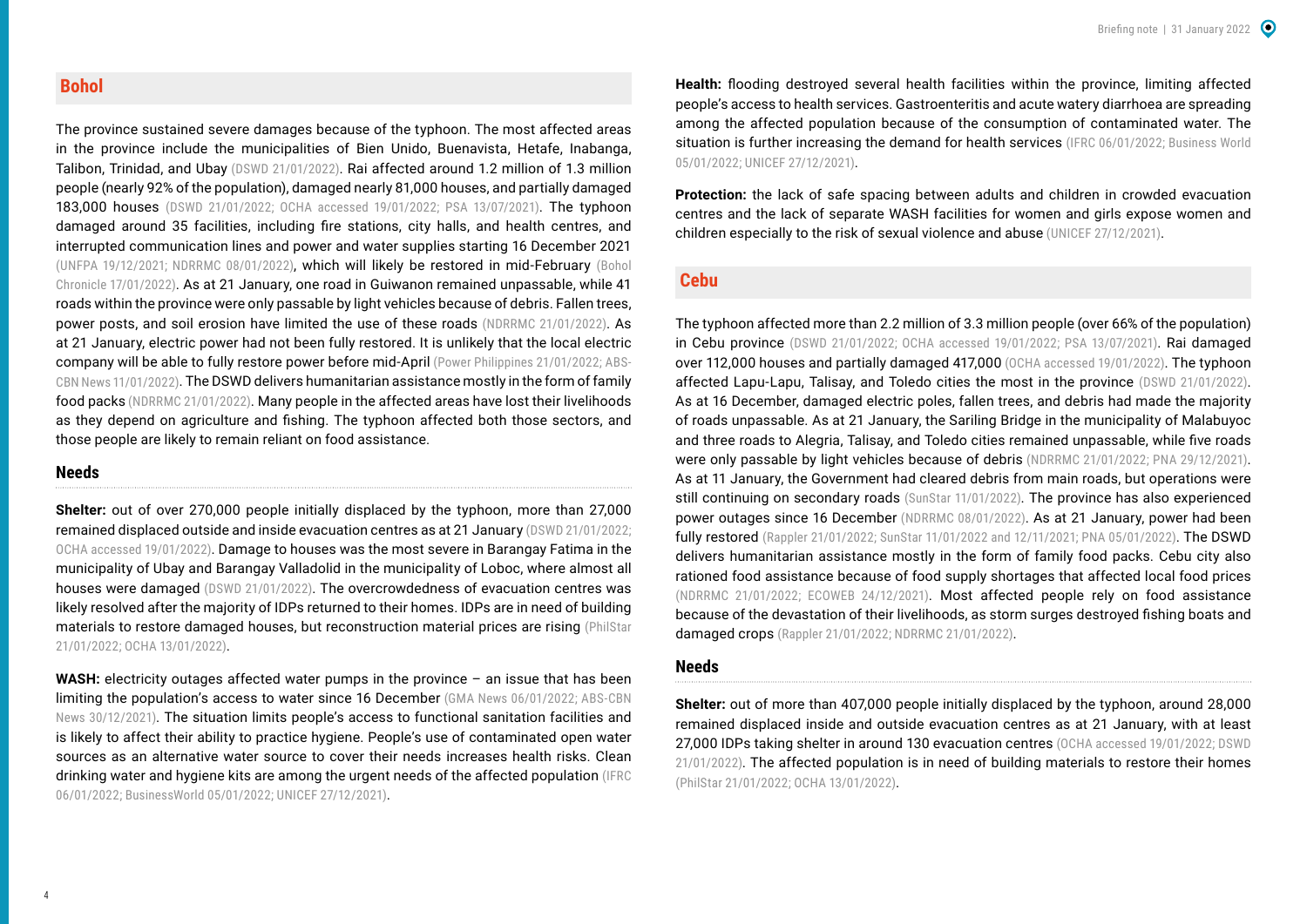#### **Bohol**

The province sustained severe damages because of the typhoon. The most affected areas in the province include the municipalities of Bien Unido, Buenavista, Hetafe, Inabanga, Talibon, Trinidad, and Ubay ([DSWD 21/01/2022\)](https://reliefweb.int/sites/reliefweb.int/files/resources/DSWD-DROMIC-Report-60-on-Typhoon-ODETTE-as-of-21-January-2022-6PM.pdf). Rai affected around 1.2 million of 1.3 million people (nearly 92% of the population), damaged nearly 81,000 houses, and partially damaged 183,000 houses [\(DSWD 21/01/2022;](https://reliefweb.int/sites/reliefweb.int/files/resources/DSWD-DROMIC-Report-60-on-Typhoon-ODETTE-as-of-21-January-2022-6PM.pdf) [OCHA accessed 19/01/2022](https://roap.data.unocha.org/country/philippines/hnp/TyphoonRai/situation.html); [PSA 13/07/2021](https://psa.gov.ph/content/highlights-philippine-population-2020-census-population-and-housing-2020-cph)). The typhoon damaged around 35 facilities, including fire stations, city halls, and health centres, and interrupted communication lines and power and water supplies starting 16 December 2021 ([UNFPA 19/12/2021](https://acaps-my.sharepoint.com/personal/huda_qasim_acaps_org/Documents/Documents/non-start%20reports/philippines/sources/unfpa%2019-12.docx); [NDRRMC 08/01/2022](https://reliefweb.int/sites/reliefweb.int/files/resources/SitRep_No__27_for_Typhoon_ODETTE_2021.pdf)), which will likely be restored in mid-February ([Bohol](https://www.boholchronicle.com.ph/2022/01/17/bohol-to-start-drawing-power-from-leyte-in-february/)  [Chronicle 17/01/2022\)](https://www.boholchronicle.com.ph/2022/01/17/bohol-to-start-drawing-power-from-leyte-in-february/). As at 21 January, one road in Guiwanon remained unpassable, while 41 roads within the province were only passable by light vehicles because of debris. Fallen trees, power posts, and soil erosion have limited the use of these roads ([NDRRMC 21/01/2022](https://reliefweb.int/sites/reliefweb.int/files/resources/Subject_SitRep_No__37_for_Typhoon_ODETTE_2021.pdf)). As at 21 January, electric power had not been fully restored. It is unlikely that the local electric company will be able to fully restore power before mid-April ([Power Philippines 21/01/2022](https://powerphilippines.com/ngcp-restores-all-69kv-lines-in-bohol/); [ABS-](https://news.abs-cbn.com/news/01/11/22/doe-more-odette-ravaged-areas-getting-power-back?fbclid=IwAR1BOkApiMQXOmIm2mpiBF23EOmVzzAvT5mn1IvCWi3hyZZ10HAr1NlYlnk)[CBN News 11/01/2022\)](https://news.abs-cbn.com/news/01/11/22/doe-more-odette-ravaged-areas-getting-power-back?fbclid=IwAR1BOkApiMQXOmIm2mpiBF23EOmVzzAvT5mn1IvCWi3hyZZ10HAr1NlYlnk). The DSWD delivers humanitarian assistance mostly in the form of family food packs [\(NDRRMC 21/01/2022\)](https://reliefweb.int/sites/reliefweb.int/files/resources/Subject_SitRep_No__37_for_Typhoon_ODETTE_2021.pdf). Many people in the affected areas have lost their livelihoods as they depend on agriculture and fishing. The typhoon affected both those sectors, and those people are likely to remain reliant on food assistance.

#### **Needs**

**Shelter:** out of over 270,000 people initially displaced by the typhoon, more than 27,000 remained displaced outside and inside evacuation centres as at 21 January ([DSWD 21/01/2022](https://reliefweb.int/sites/reliefweb.int/files/resources/DSWD-DROMIC-Report-60-on-Typhoon-ODETTE-as-of-21-January-2022-6PM.pdf); [OCHA accessed 19/01/2022](https://roap.data.unocha.org/country/philippines/hnp/TyphoonRai/situation.html)). Damage to houses was the most severe in Barangay Fatima in the municipality of Ubay and Barangay Valladolid in the municipality of Loboc, where almost all houses were damaged [\(DSWD 21/01/2022](https://reliefweb.int/sites/reliefweb.int/files/resources/DSWD-DROMIC-Report-60-on-Typhoon-ODETTE-as-of-21-January-2022-6PM.pdf)). The overcrowdedness of evacuation centres was likely resolved after the majority of IDPs returned to their homes. IDPs are in need of building materials to restore damaged houses, but reconstruction material prices are rising [\(PhilStar](https://www.philstar.com/business/2022/01/21/2155248/rebuilding-odette-stricken-areas)  [21/01/2022;](https://www.philstar.com/business/2022/01/21/2155248/rebuilding-odette-stricken-areas) [OCHA 13/01/2022](https://reliefweb.int/sites/reliefweb.int/files/resources/OCHA%20PHL_Typhoon%20Rai%20Sitrep2%2013Jan2022.pdf)).

**WASH:** electricity outages affected water pumps in the province – an issue that has been limiting the population's access to water since 16 December ([GMA News 06/01/2022](https://www.gmanetwork.com/news/topstories/regions/817193/bohol-still-in-the-dark-weeks-after-odette-governor-says/story/); ABS-CBN [News 30/12/2021](https://news.abs-cbn.com/news/12/30/21/bohol-suffers-power-water-telco-outages-2-weeks-after-odette)). The situation limits people's access to functional sanitation facilities and is likely to affect their ability to practice hygiene. People's use of contaminated open water sources as an alternative water source to cover their needs increases health risks. Clean drinking water and hygiene kits are among the urgent needs of the affected population ([IFRC](https://www.ifrc.org/press-release/philippines-mounting-health-crisis-after-super-typhoon)  [06/01/2022](https://www.ifrc.org/press-release/philippines-mounting-health-crisis-after-super-typhoon); [BusinessWorld 05/01/2022;](https://www.bworldonline.com/typhoon-survivors-left-vulnerable-to-covid-19/) [UNICEF 27/12/2021](https://www.unicef.org/philippines/stories/day-zero-stories-odette-affected-locales)).

**Health:** flooding destroyed several health facilities within the province, limiting affected people's access to health services. Gastroenteritis and acute watery diarrhoea are spreading among the affected population because of the consumption of contaminated water. The situation is further increasing the demand for health services [\(IFRC 06/01/2022;](https://www.ifrc.org/press-release/philippines-mounting-health-crisis-after-super-typhoon) Business World [05/01/2022](https://www.bworldonline.com/typhoon-survivors-left-vulnerable-to-covid-19/); [UNICEF 27/12/2021\)](https://www.unicef.org/philippines/stories/day-zero-stories-odette-affected-locales).

**Protection:** the lack of safe spacing between adults and children in crowded evacuation centres and the lack of separate WASH facilities for women and girls expose women and children especially to the risk of sexual violence and abuse ([UNICEF 27/12/2021](https://www.unicef.org/philippines/stories/day-zero-stories-odette-affected-locales)).

#### **Cebu**

The typhoon affected more than 2.2 million of 3.3 million people (over 66% of the population) in Cebu province [\(DSWD 21/01/2022](https://reliefweb.int/sites/reliefweb.int/files/resources/DSWD-DROMIC-Report-60-on-Typhoon-ODETTE-as-of-21-January-2022-6PM.pdf); [OCHA accessed 19/01/2022](https://roap.data.unocha.org/country/philippines/hnp/TyphoonRai/situation.html); [PSA 13/07/2021](https://psa.gov.ph/content/highlights-philippine-population-2020-census-population-and-housing-2020-cph)). Rai damaged over 112,000 houses and partially damaged 417,000 ([OCHA accessed 19/01/2022](https://roap.data.unocha.org/country/philippines/hnp/TyphoonRai/situation.html)). The typhoon affected Lapu-Lapu, Talisay, and Toledo cities the most in the province [\(DSWD 21/01/2022\)](https://reliefweb.int/sites/reliefweb.int/files/resources/DSWD-DROMIC-Report-60-on-Typhoon-ODETTE-as-of-21-January-2022-6PM.pdf). As at 16 December, damaged electric poles, fallen trees, and debris had made the majority of roads unpassable. As at 21 January, the Sariling Bridge in the municipality of Malabuyoc and three roads to Alegria, Talisay, and Toledo cities remained unpassable, while five roads were only passable by light vehicles because of debris ([NDRRMC 21/01/2022;](https://reliefweb.int/sites/reliefweb.int/files/resources/Subject_SitRep_No__37_for_Typhoon_ODETTE_2021.pdf) [PNA 29/12/2021](https://www.pna.gov.ph/articles/1164024)). As at 11 January, the Government had cleared debris from main roads, but operations were still continuing on secondary roads ([SunStar 11/01/2022](https://www.sunstar.com.ph/article/1917875/cebu/local-news/clearing-operations-in-cebu-city-continue)). The province has also experienced power outages since 16 December [\(NDRRMC 08/01/2022\)](https://reliefweb.int/sites/reliefweb.int/files/resources/SitRep_No__27_for_Typhoon_ODETTE_2021.pdf). As at 21 January, power had been fully restored ([Rappler 21/01/2022](https://www.rappler.com/newsbreak/in-depth/residents-olango-island-cebu-wait-for-aid-after-typhoon-odette/); [SunStar 11/01/2022](https://www.sunstar.com.ph/article/1917875/cebu/local-news/clearing-operations-in-cebu-city-continue) and [12/11/2021;](https://www.sunstar.com.ph/article/1917896/cebu/local-news/visayan-electric-restores-power-to-56-of-affected-consumers-in-metro-cebu) [PNA 05/01/2022](https://www.pna.gov.ph/articles/1164613)). The DSWD delivers humanitarian assistance mostly in the form of family food packs. Cebu city also rationed food assistance because of food supply shortages that affected local food prices ([NDRRMC 21/01/2022](ttps://reliefweb.int/sites/reliefweb.int/files/resources/Subject_SitRep_No__37_for_Typhoon_ODETTE_2021.pdf); [ECOWEB 24/12/2021\)](https://reliefweb.int/sites/reliefweb.int/files/resources/ECOWEB-SitRep-2-Odette_20Dec-2.pdf). Most affected people rely on food assistance because of the devastation of their livelihoods, as storm surges destroyed fishing boats and damaged crops ([Rappler 21/01/2022](https://www.rappler.com/newsbreak/in-depth/residents-olango-island-cebu-wait-for-aid-after-typhoon-odette/); [NDRRMC 21/01/2022\)](ttps://reliefweb.int/sites/reliefweb.int/files/resources/Subject_SitRep_No__37_for_Typhoon_ODETTE_2021.pdf).

#### **Needs**

**Shelter:** out of more than 407,000 people initially displaced by the typhoon, around 28,000 remained displaced inside and outside evacuation centres as at 21 January, with at least 27,000 IDPs taking shelter in around 130 evacuation centres [\(OCHA accessed 19/01/2022;](https://roap.data.unocha.org/country/philippines/hnp/TyphoonRai/situation.html) DSWD [21/01/2022\)](https://reliefweb.int/sites/reliefweb.int/files/resources/DSWD-DROMIC-Report-60-on-Typhoon-ODETTE-as-of-21-January-2022-6PM.pdf). The affected population is in need of building materials to restore their homes ([PhilStar 21/01/2022;](https://www.philstar.com/business/2022/01/21/2155248/rebuilding-odette-stricken-areas) [OCHA 13/01/2022](https://reliefweb.int/sites/reliefweb.int/files/resources/OCHA%20PHL_Typhoon%20Rai%20Sitrep2%2013Jan2022.pdf)).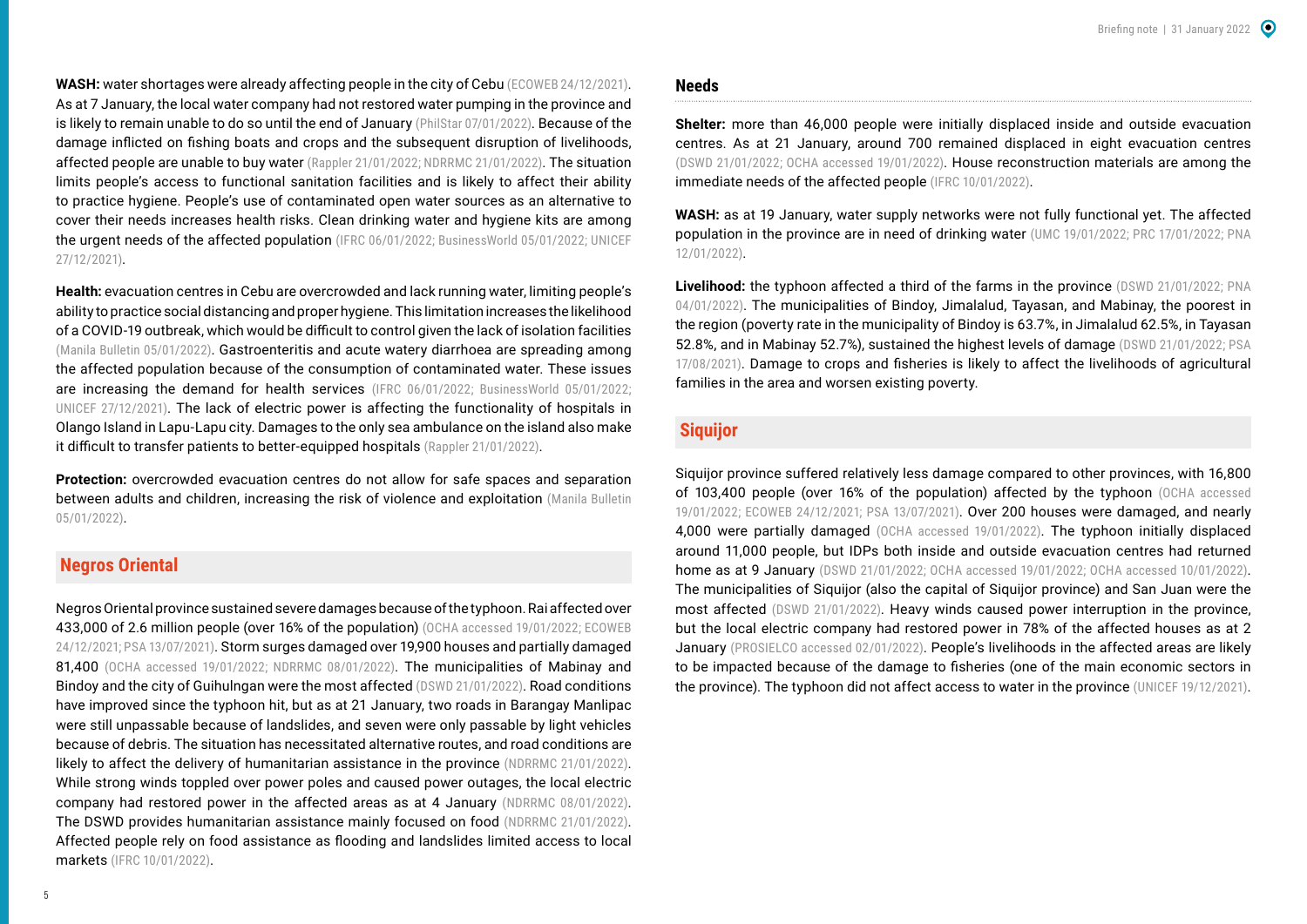**WASH:** water shortages were already affecting people in the city of Cebu [\(ECOWEB 24/12/2021\)](https://reliefweb.int/sites/reliefweb.int/files/resources/ECOWEB-SitRep-2-Odette_20Dec-2.pdf). As at 7 January, the local water company had not restored water pumping in the province and is likely to remain unable to do so until the end of January [\(PhilStar 07/01/2022\)](https://www.philstar.com/the-freeman/opinion/2022/01/07/2152317/thanks-haunted-elevator). Because of the damage inflicted on fishing boats and crops and the subsequent disruption of livelihoods, affected people are unable to buy water ([Rappler 21/01/2022](https://www.rappler.com/newsbreak/in-depth/residents-olango-island-cebu-wait-for-aid-after-typhoon-odette/); [NDRRMC 21/01/2022\)](https://reliefweb.int/sites/reliefweb.int/files/resources/Subject_SitRep_No__37_for_Typhoon_ODETTE_2021.pdf). The situation limits people's access to functional sanitation facilities and is likely to affect their ability to practice hygiene. People's use of contaminated open water sources as an alternative to cover their needs increases health risks. Clean drinking water and hygiene kits are among the urgent needs of the affected population ([IFRC 06/01/2022](https://www.ifrc.org/press-release/philippines-mounting-health-crisis-after-super-typhoon); [BusinessWorld 05/01/2022;](https://www.bworldonline.com/typhoon-survivors-left-vulnerable-to-covid-19/) UNICEF [27/12/2021](https://www.unicef.org/philippines/stories/day-zero-stories-odette-affected-locales)).

**Health:** evacuation centres in Cebu are overcrowded and lack running water, limiting people's ability to practice social distancing and proper hygiene. This limitation increases the likelihood of a COVID-19 outbreak, which would be difficult to control given the lack of isolation facilities ([Manila Bulletin 05/01/2022](https://mb.com.ph/2022/01/05/doh-7-packed-evacuation-centers-could-lead-to-covid-surge/)). Gastroenteritis and acute watery diarrhoea are spreading among the affected population because of the consumption of contaminated water. These issues are increasing the demand for health services [\(IFRC 06/01/2022](https://www.ifrc.org/press-release/philippines-mounting-health-crisis-after-super-typhoon); [BusinessWorld 05/01/2022](https://www.bworldonline.com/typhoon-survivors-left-vulnerable-to-covid-19/); [UNICEF 27/12/2021](https://www.unicef.org/philippines/stories/day-zero-stories-odette-affected-locales)). The lack of electric power is affecting the functionality of hospitals in Olango Island in Lapu-Lapu city. Damages to the only sea ambulance on the island also make it difficult to transfer patients to better-equipped hospitals ([Rappler 21/01/2022\)](https://www.rappler.com/newsbreak/in-depth/residents-olango-island-cebu-wait-for-aid-after-typhoon-odette/).

**Protection:** overcrowded evacuation centres do not allow for safe spaces and separation between adults and children, increasing the risk of violence and exploitation (Manila Bulletin [05/01/2022\)](https://mb.com.ph/2022/01/05/doh-7-packed-evacuation-centers-could-lead-to-covid-surge/).

#### **Negros Oriental**

Negros Oriental province sustained severe damages because of the typhoon. Rai affected over 433,000 of 2.6 million people (over 16% of the population) ([OCHA accessed 19/01/2022;](https://roap.data.unocha.org/country/philippines/hnp/TyphoonRai/situation.html) ECOWEB [24/12/2021;](https://reliefweb.int/sites/reliefweb.int/files/resources/ECOWEB-SitRep-2-Odette_20Dec-2.pdf) [PSA 13/07/2021\)](https://psa.gov.ph/content/highlights-philippine-population-2020-census-population-and-housing-2020-cph). Storm surges damaged over 19,900 houses and partially damaged 81,400 [\(OCHA accessed 19/01/2022;](https://roap.data.unocha.org/country/philippines/hnp/TyphoonRai/situation.html) [NDRRMC 08/01/2022\)](https://reliefweb.int/sites/reliefweb.int/files/resources/SitRep_No__27_for_Typhoon_ODETTE_2021.pdf). The municipalities of Mabinay and Bindoy and the city of Guihulngan were the most affected ([DSWD 21/01/2022](https://reliefweb.int/sites/reliefweb.int/files/resources/DSWD-DROMIC-Report-60-on-Typhoon-ODETTE-as-of-21-January-2022-6PM.pdf)). Road conditions have improved since the typhoon hit, but as at 21 January, two roads in Barangay Manlipac were still unpassable because of landslides, and seven were only passable by light vehicles because of debris. The situation has necessitated alternative routes, and road conditions are likely to affect the delivery of humanitarian assistance in the province ([NDRRMC 21/01/2022\)](https://reliefweb.int/sites/reliefweb.int/files/resources/Subject_SitRep_No__37_for_Typhoon_ODETTE_2021.pdf). While strong winds toppled over power poles and caused power outages, the local electric company had restored power in the affected areas as at 4 January [\(NDRRMC 08/01/2022\)](https://reliefweb.int/sites/reliefweb.int/files/resources/SitRep_No__27_for_Typhoon_ODETTE_2021.pdf). The DSWD provides humanitarian assistance mainly focused on food [\(NDRRMC 21/01/2022\)](https://reliefweb.int/sites/reliefweb.int/files/resources/Subject_SitRep_No__37_for_Typhoon_ODETTE_2021.pdf). Affected people rely on food assistance as flooding and landslides limited access to local markets [\(IFRC 10/01/2022\)](https://reliefweb.int/report/philippines/philippines-asia-pacific-typhoon-rai-odette-emergency-appeal-no-mdrph045-0).

#### **Needs**

**Shelter:** more than 46,000 people were initially displaced inside and outside evacuation centres. As at 21 January, around 700 remained displaced in eight evacuation centres ([DSWD 21/01/2022](https://reliefweb.int/sites/reliefweb.int/files/resources/DSWD-DROMIC-Report-60-on-Typhoon-ODETTE-as-of-21-January-2022-6PM.pdf); [OCHA accessed 19/01/2022](https://roap.data.unocha.org/country/philippines/hnp/TyphoonRai/situation.html)). House reconstruction materials are among the immediate needs of the affected people ([IFRC 10/01/2022](https://reliefweb.int/report/philippines/philippines-asia-pacific-typhoon-rai-odette-emergency-appeal-no-mdrph045-0)).

**WASH:** as at 19 January, water supply networks were not fully functional yet. The affected population in the province are in need of drinking water ([UMC 19/01/2022;](https://umcmission.org/january-2022/filipino-churches-step-up-after-super-typhoon/) [PRC 17/01/2022;](https://redcross.org.ph/2022/01/17/red-cross-provides-30000-liters-of-water-to-800-families-in-negros-oriental/) PNA [12/01/2022\)](https://www.pna.gov.ph/articles/1165193).

Livelihood: the typhoon affected a third of the farms in the province ([DSWD 21/01/2022](https://reliefweb.int/sites/reliefweb.int/files/resources/DSWD-DROMIC-Report-60-on-Typhoon-ODETTE-as-of-21-January-2022-6PM.pdf); PNA [04/01/2022](https://www.pna.gov.ph/articles/1164491)). The municipalities of Bindoy, Jimalalud, Tayasan, and Mabinay, the poorest in the region (poverty rate in the municipality of Bindoy is 63.7%, in Jimalalud 62.5%, in Tayasan 52.8%, and in Mabinay 52.7%), sustained the highest levels of damage ([DSWD 21/01/2022;](https://reliefweb.int/sites/reliefweb.int/files/resources/DSWD-DROMIC-Report-60-on-Typhoon-ODETTE-as-of-21-January-2022-6PM.pdf) [PSA](http://rsso07.psa.gov.ph/poverty/releases/title/2015%20Municipal%20and%20City%20Level%20Poverty%20Estimates%20of%20Central%20Visayas)  [17/08/2021\)](http://rsso07.psa.gov.ph/poverty/releases/title/2015%20Municipal%20and%20City%20Level%20Poverty%20Estimates%20of%20Central%20Visayas). Damage to crops and fisheries is likely to affect the livelihoods of agricultural families in the area and worsen existing poverty.

#### **Siquijor**

Siquijor province suffered relatively less damage compared to other provinces, with 16,800 of 103,400 people (over 16% of the population) affected by the typhoon [\(OCHA accessed](https://roap.data.unocha.org/country/philippines/hnp/TyphoonRai/situation.html)  [19/01/2022;](https://roap.data.unocha.org/country/philippines/hnp/TyphoonRai/situation.html) [ECOWEB 24/12/2021;](https://reliefweb.int/sites/reliefweb.int/files/resources/ECOWEB-SitRep-2-Odette_20Dec-2.pdf) [PSA 13/07/2021](https://psa.gov.ph/content/highlights-philippine-population-2020-census-population-and-housing-2020-cph)). Over 200 houses were damaged, and nearly 4,000 were partially damaged [\(OCHA accessed 19/01/2022](https://roap.data.unocha.org/country/philippines/hnp/TyphoonRai/situation.html)). The typhoon initially displaced around 11,000 people, but IDPs both inside and outside evacuation centres had returned home as at 9 January ([DSWD 21/01/2022;](https://reliefweb.int/sites/reliefweb.int/files/resources/DSWD-DROMIC-Report-60-on-Typhoon-ODETTE-as-of-21-January-2022-6PM.pdf) [OCHA accessed 19/01/2022;](https://roap.data.unocha.org/country/philippines/hnp/TyphoonRai/situation.html) [OCHA accessed 10/01/2022\)](https://roap.data.unocha.org/country/philippines/hnp/TyphoonRai/situation.html). The municipalities of Siquijor (also the capital of Siquijor province) and San Juan were the most affected ([DSWD 21/01/2022\)](https://reliefweb.int/sites/reliefweb.int/files/resources/DSWD-DROMIC-Report-60-on-Typhoon-ODETTE-as-of-21-January-2022-6PM.pdf). Heavy winds caused power interruption in the province, but the local electric company had restored power in 78% of the affected houses as at 2 January [\(PROSIELCO accessed 02/01/2022](https://www.facebook.com/prosielco.official/photos/a.2534523506560907/5200869949926236/)). People's livelihoods in the affected areas are likely to be impacted because of the damage to fisheries (one of the main economic sectors in the province). The typhoon did not affect access to water in the province ([UNICEF 19/12/2021\)](https://drive.google.com/drive/folders/11lmS9XwnaT68lFUiqeqtFpnmORIbvvwf).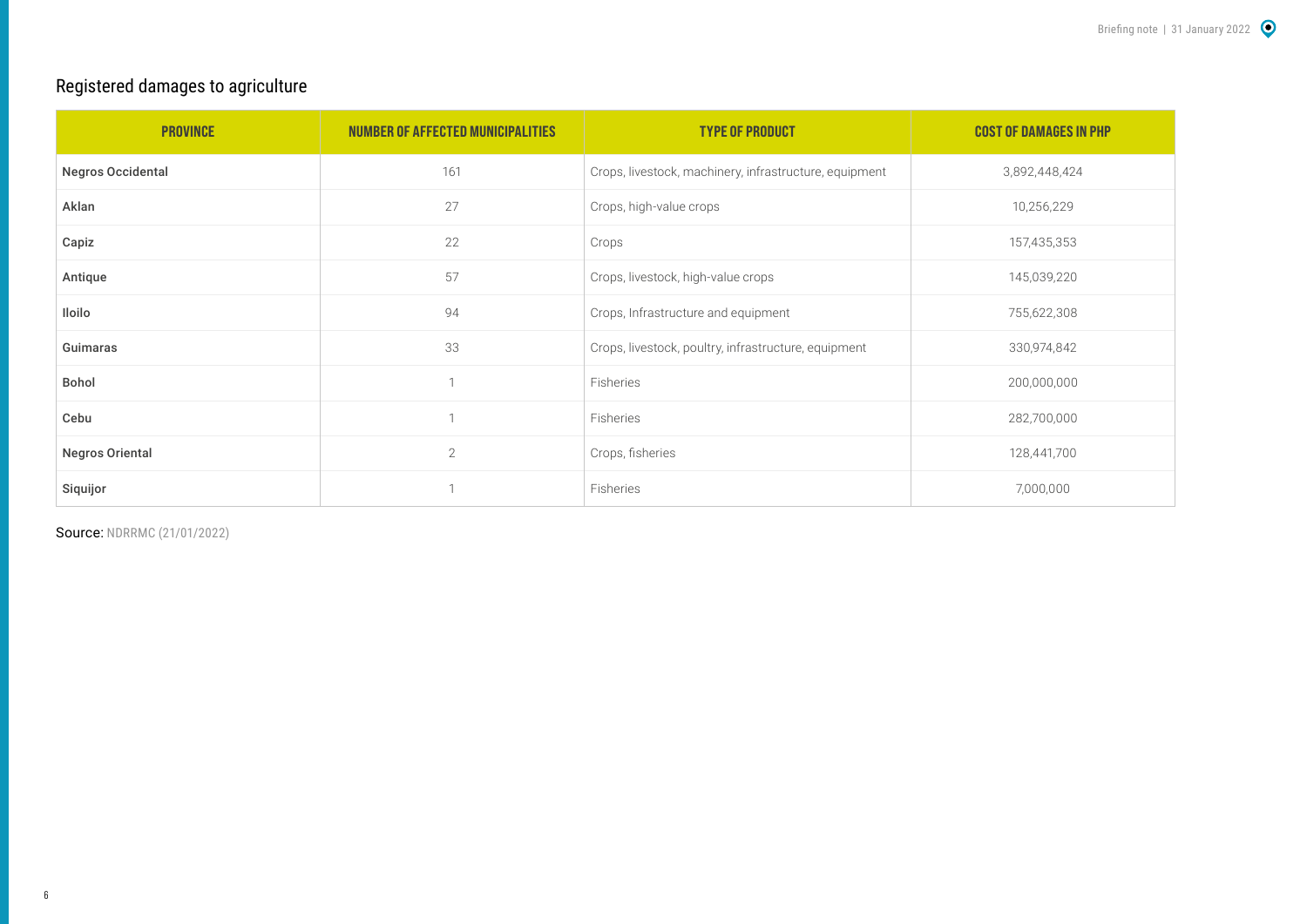## Registered damages to agriculture

| <b>PROVINCE</b>          | NUMBER OF AFFECTED MUNICIPALITIES | <b>TYPE OF PRODUCT</b>                                 | <b>COST OF DAMAGES IN PHP</b> |
|--------------------------|-----------------------------------|--------------------------------------------------------|-------------------------------|
| <b>Negros Occidental</b> | 161                               | Crops, livestock, machinery, infrastructure, equipment | 3,892,448,424                 |
| Aklan                    | 27                                | Crops, high-value crops                                | 10,256,229                    |
| Capiz                    | 22                                | Crops                                                  | 157,435,353                   |
| Antique                  | 57                                | Crops, livestock, high-value crops                     | 145,039,220                   |
| Iloilo                   | 94                                | Crops, Infrastructure and equipment                    | 755,622,308                   |
| Guimaras                 | 33                                | Crops, livestock, poultry, infrastructure, equipment   | 330,974,842                   |
| Bohol                    | h                                 | Fisheries                                              | 200,000,000                   |
| Cebu                     |                                   | Fisheries                                              | 282,700,000                   |
| <b>Negros Oriental</b>   | $\mathbf{2}$                      | Crops, fisheries                                       | 128,441,700                   |
| Siquijor                 |                                   | Fisheries                                              | 7,000,000                     |

Source: [NDRRMC \(21/01/2022](https://reliefweb.int/sites/reliefweb.int/files/resources/Subject_SitRep_No__37_for_Typhoon_ODETTE_2021.pdf))